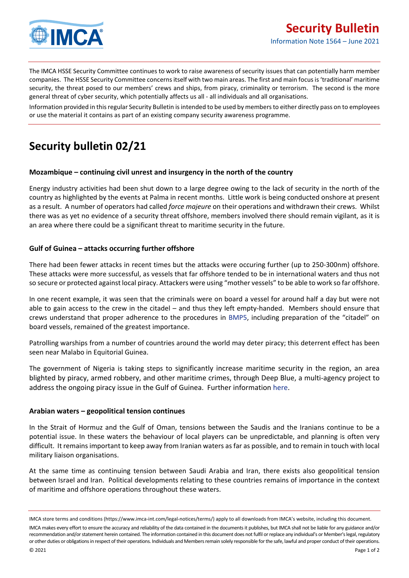

The IMCA HSSE Security Committee continues to work to raise awareness of security issues that can potentially harm member companies. The HSSE Security Committee concerns itself with two main areas. The first and main focus is 'traditional' maritime security, the threat posed to our members' crews and ships, from piracy, criminality or terrorism. The second is the more general threat of cyber security, which potentially affects us all - all individuals and all organisations.

Information provided in this regular Security Bulletin is intended to be used by members to either directly pass on to employees or use the material it contains as part of an existing company security awareness programme.

# **Security bulletin 02/21**

#### **Mozambique – continuing civil unrest and insurgency in the north of the country**

Energy industry activities had been shut down to a large degree owing to the lack of security in the north of the country as highlighted by the events at Palma in recent months. Little work is being conducted onshore at present as a result. A number of operators had called *force majeure* on their operations and withdrawn their crews. Whilst there was as yet no evidence of a security threat offshore, members involved there should remain vigilant, as it is an area where there could be a significant threat to maritime security in the future.

### **Gulf of Guinea – attacks occurring further offshore**

There had been fewer attacks in recent times but the attacks were occuring further (up to 250-300nm) offshore. These attacks were more successful, as vessels that far offshore tended to be in international waters and thus not so secure or protected against local piracy. Attackers were using "mother vessels" to be able to work so far offshore.

In one recent example, it was seen that the criminals were on board a vessel for around half a day but were not able to gain access to the crew in the citadel – and thus they left empty-handed. Members should ensure that crews understand that proper adherence to the procedures in [BMP5,](https://www.ocimf.org/publications/information-papers/bmp5-best-management-practices-to-deter-piracy-and-enhance-maritime-security-in-the-red-sea,-gulf-of-aden,-indian-ocean-and-arabian-sea) including preparation of the "citadel" on board vessels, remained of the greatest importance.

Patrolling warships from a number of countries around the world may deter piracy; this deterrent effect has been seen near Malabo in Equitorial Guinea.

The government of Nigeria is taking steps to significantly increase maritime security in the region, an area blighted by piracy, armed robbery, and other maritime crimes, through Deep Blue, a multi-agency project to address the ongoing piracy issue in the Gulf of Guinea. Further informatio[n here.](https://www.ics-shipping.org/press-release/shipping-industry-welcomes-nigerias-creation-of-deep-blue-to-stamp-out-piracy-in-the-gulf-of-guinea/)

#### **Arabian waters – geopolitical tension continues**

In the Strait of Hormuz and the Gulf of Oman, tensions between the Saudis and the Iranians continue to be a potential issue. In these waters the behaviour of local players can be unpredictable, and planning is often very difficult. It remainsimportant to keep away from Iranian waters as far as possible, and to remain in touch with local military liaison organisations.

At the same time as continuing tension between Saudi Arabia and Iran, there exists also geopolitical tension between Israel and Iran. Political developments relating to these countries remains of importance in the context of maritime and offshore operations throughout these waters.

IMCA store terms and conditions (https://www.imca-int.com/legal-notices/terms/) apply to all downloads from IMCA's website, including this document.

IMCA makes every effort to ensure the accuracy and reliability of the data contained in the documents it publishes, but IMCA shall not be liable for any guidance and/or recommendation and/or statement herein contained. The information contained in this document does not fulfil or replace any individual's or Member's legal, regulatory or other duties or obligations in respect of their operations. Individuals and Members remain solely responsible for the safe, lawful and proper conduct of their operations.